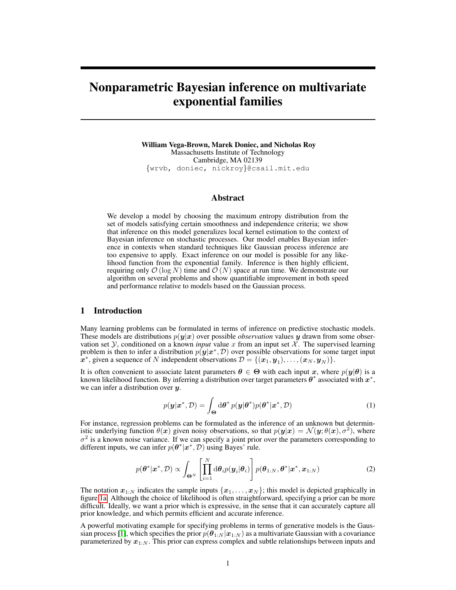# Nonparametric Bayesian inference on multivariate exponential families

William Vega-Brown, Marek Doniec, and Nicholas Roy Massachusetts Institute of Technology Cambridge, MA 02139 {wrvb, doniec, nickroy}@csail.mit.edu

## Abstract

We develop a model by choosing the maximum entropy distribution from the set of models satisfying certain smoothness and independence criteria; we show that inference on this model generalizes local kernel estimation to the context of Bayesian inference on stochastic processes. Our model enables Bayesian inference in contexts when standard techniques like Gaussian process inference are too expensive to apply. Exact inference on our model is possible for any likelihood function from the exponential family. Inference is then highly efficient, requiring only  $\mathcal{O}(\log N)$  time and  $\mathcal{O}(N)$  space at run time. We demonstrate our algorithm on several problems and show quantifiable improvement in both speed and performance relative to models based on the Gaussian process.

# 1 Introduction

Many learning problems can be formulated in terms of inference on predictive stochastic models. These models are distributions  $p(y|x)$  over possible *observation* values y drawn from some observation set Y, conditioned on a known *input* value x from an input set  $\mathcal{X}$ . The supervised learning problem is then to infer a distribution  $p(\mathbf{y}|\mathbf{x}^*, D)$  over possible observations for some target input  $\mathbf{x}^*$ , given a sequence of N independent observations  $\mathcal{D} = \{(\mathbf{x}_1, \mathbf{y}_1), \dots, (\mathbf{x}_N, \mathbf{y}_N)\}.$ 

It is often convenient to associate latent parameters  $\theta \in \Theta$  with each input x, where  $p(y|\theta)$  is a known likelihood function. By inferring a distribution over target parameters  $\theta^*$  associated with  $x^*$ , we can infer a distribution over  $y$ .

$$
p(\mathbf{y}|\mathbf{x}^*, \mathcal{D}) = \int_{\Theta} d\theta^* \, p(\mathbf{y}|\theta^*) p(\theta^*|\mathbf{x}^*, \mathcal{D}) \tag{1}
$$

For instance, regression problems can be formulated as the inference of an unknown but deterministic underlying function  $\theta(x)$  given noisy observations, so that  $p(y|x) = \mathcal{N}(y; \theta(x), \sigma^2)$ , where  $\sigma^2$  is a known noise variance. If we can specify a joint prior over the parameters corresponding to different inputs, we can infer  $p(\theta^* | x^*, \mathcal{D})$  using Bayes' rule.

$$
p(\boldsymbol{\theta}^*|\boldsymbol{x}^*, \mathcal{D}) \propto \int_{\boldsymbol{\Theta}^N} \left[ \prod_{i=1}^N d\boldsymbol{\theta}_i p(\boldsymbol{y}_i|\boldsymbol{\theta}_i) \right] p(\boldsymbol{\theta}_{1:N}, \boldsymbol{\theta}^*|\boldsymbol{x}^*, \boldsymbol{x}_{1:N})
$$
(2)

The notation  $x_{1:N}$  indicates the sample inputs  $\{x_1, \ldots, x_N\}$ ; this model is depicted graphically in figure 1a. Although the choice of likelihood is often straightforward, specifying a prior can be more difficult. Ideally, we want a prior which is expressive, in the sense that it can accurately capture all prior knowledge, and which permits efficient and accurate inference.

A powerful motivating example for specifying problems in terms of generative models is the Gaussian process [1], which specifies the prior  $p(\theta_{1:N} | x_{1:N})$  as a multivariate Gaussian with a covariance parameterized by  $x_{1:N}$ . This prior can express complex and subtle relationships between inputs and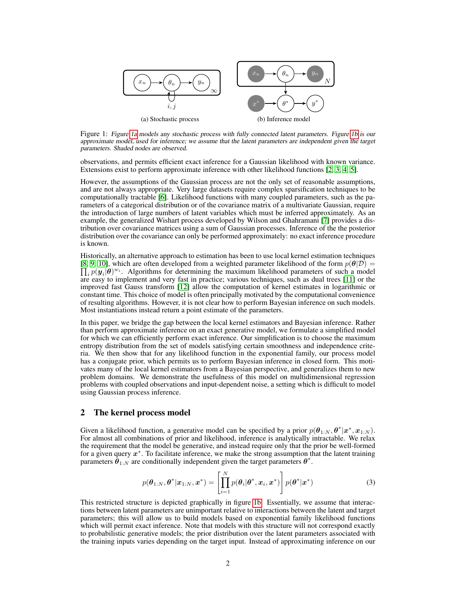

Figure 1: Figure 1a models any stochastic process with fully connected latent parameters. Figure 1b is our approximate model, used for inference; we assume that the latent parameters are independent given the target parameters. Shaded nodes are observed.

observations, and permits efficient exact inference for a Gaussian likelihood with known variance. Extensions exist to perform approximate inference with other likelihood functions [2, 3, 4, 5].

However, the assumptions of the Gaussian process are not the only set of reasonable assumptions, and are not always appropriate. Very large datasets require complex sparsification techniques to be computationally tractable [6]. Likelihood functions with many coupled parameters, such as the parameters of a categorical distribution or of the covariance matrix of a multivariate Gaussian, require the introduction of large numbers of latent variables which must be inferred approximately. As an example, the generalized Wishart process developed by Wilson and Ghahramani [7] provides a distribution over covariance matrices using a sum of Gaussian processes. Inference of the the posterior distribution over the covariance can only be performed approximately: no exact inference procedure is known.

Historically, an alternative approach to estimation has been to use local kernel estimation techniques [8, 9, 10], which are often developed from a weighted parameter likelihood of the form  $p(\theta|\mathcal{D}) =$  $\prod_i p(\bm{y}_i|\bm{\theta})^{w_i}$ . Algorithms for determining the maximum likelihood parameters of such a model are easy to implement and very fast in practice; various techniques, such as dual trees [11] or the improved fast Gauss transform [12] allow the computation of kernel estimates in logarithmic or constant time. This choice of model is often principally motivated by the computational convenience of resulting algorithms. However, it is not clear how to perform Bayesian inference on such models. Most instantiations instead return a point estimate of the parameters.

In this paper, we bridge the gap between the local kernel estimators and Bayesian inference. Rather than perform approximate inference on an exact generative model, we formulate a simplified model for which we can efficiently perform exact inference. Our simplification is to choose the maximum entropy distribution from the set of models satisfying certain smoothness and independence criteria. We then show that for any likelihood function in the exponential family, our process model has a conjugate prior, which permits us to perform Bayesian inference in closed form. This motivates many of the local kernel estimators from a Bayesian perspective, and generalizes them to new problem domains. We demonstrate the usefulness of this model on multidimensional regression problems with coupled observations and input-dependent noise, a setting which is difficult to model using Gaussian process inference.

# 2 The kernel process model

Given a likelihood function, a generative model can be specified by a prior  $p(\theta_{1:N}, \theta^* | x^*, x_{1:N})$ . For almost all combinations of prior and likelihood, inference is analytically intractable. We relax the requirement that the model be generative, and instead require only that the prior be well-formed for a given query  $x^*$ . To facilitate inference, we make the strong assumption that the latent training parameters  $\hat{\theta}_{1:N}$  are conditionally independent given the target parameters  $\theta^*$ .

$$
p(\boldsymbol{\theta}_{1:N}, \boldsymbol{\theta}^* | \boldsymbol{x}_{1:N}, \boldsymbol{x}^*) = \left[ \prod_{i=1}^N p(\boldsymbol{\theta}_i | \boldsymbol{\theta}^*, \boldsymbol{x}_i, \boldsymbol{x}^*) \right] p(\boldsymbol{\theta}^* | \boldsymbol{x}^*)
$$
(3)

This restricted structure is depicted graphically in figure 1b. Essentially, we assume that interactions between latent parameters are unimportant relative to interactions between the latent and target parameters; this will allow us to build models based on exponential family likelihood functions which will permit exact inference. Note that models with this structure will not correspond exactly to probabilistic generative models; the prior distribution over the latent parameters associated with the training inputs varies depending on the target input. Instead of approximating inference on our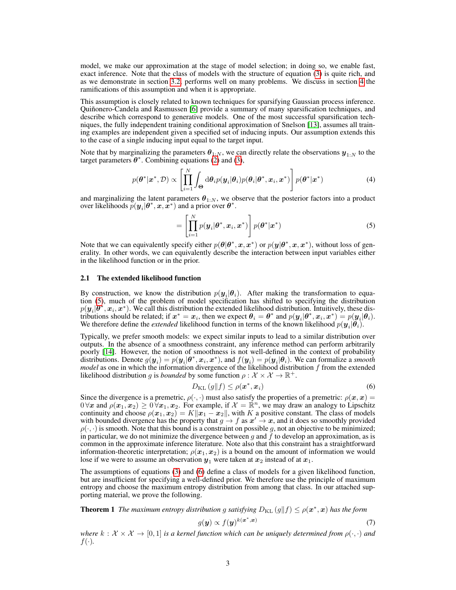model, we make our approximation at the stage of model selection; in doing so, we enable fast, exact inference. Note that the class of models with the structure of equation (3) is quite rich, and as we demonstrate in section 3.2, performs well on many problems. We discuss in section 4 the ramifications of this assumption and when it is appropriate.

This assumption is closely related to known techniques for sparsifying Gaussian process inference. Quinonero-Candela and Rasmussen [6] provide a summary of many sparsification techniques, and ˜ describe which correspond to generative models. One of the most successful sparsification techniques, the fully independent training conditional approximation of Snelson [13], assumes all training examples are independent given a specified set of inducing inputs. Our assumption extends this to the case of a single inducing input equal to the target input.

Note that by marginalizing the parameters  $\theta_{1:N}$ , we can directly relate the observations  $y_{1:N}$  to the target parameters  $\theta^*$ . Combining equations (2) and (3),

$$
p(\boldsymbol{\theta}^*|\boldsymbol{x}^*, \mathcal{D}) \propto \left[ \prod_{i=1}^N \int_{\boldsymbol{\Theta}} d\boldsymbol{\theta}_i p(\boldsymbol{y}_i|\boldsymbol{\theta}_i) p(\boldsymbol{\theta}_i|\boldsymbol{\theta}^*, \boldsymbol{x}_i, \boldsymbol{x}^*) \right] p(\boldsymbol{\theta}^*|\boldsymbol{x}^*)
$$
(4)

and marginalizing the latent parameters  $\theta_{1:N}$ , we observe that the posterior factors into a product over likelihoods  $p(\mathbf{y}_i|\boldsymbol{\theta}^*, \mathbf{x}, \mathbf{x}^*)$  and a prior over  $\boldsymbol{\theta}^*$ .

$$
= \left[ \prod_{i=1}^{N} p(\boldsymbol{y}_i | \boldsymbol{\theta}^*, \boldsymbol{x}_i, \boldsymbol{x}^*) \right] p(\boldsymbol{\theta}^* | \boldsymbol{x}^*)
$$
\n(5)

Note that we can equivalently specify either  $p(\theta | \theta^*, x, x^*)$  or  $p(y | \theta^*, x, x^*)$ , without loss of generality. In other words, we can equivalently describe the interaction between input variables either in the likelihood function or in the prior.

## 2.1 The extended likelihood function

By construction, we know the distribution  $p(\mathbf{y}_i|\boldsymbol{\theta}_i)$ . After making the transformation to equation (5), much of the problem of model specification has shifted to specifying the distribution  $p(\bm{y}_i|\bm{\theta}^*,\bm{x}_i,\bm{x}^*)$ . We call this distribution the extended likelihood distribution. Intuitively, these distributions should be related; if  $x^* = x_i$ , then we expect  $\theta_i = \theta^*$  and  $p(y_i | \theta^*, x_i, x^*) = p(y_i | \theta_i)$ . We therefore define the *extended* likelihood function in terms of the known likelihood  $p(\mathbf{y}_i|\boldsymbol{\theta}_i)$ .

Typically, we prefer smooth models: we expect similar inputs to lead to a similar distribution over outputs. In the absence of a smoothness constraint, any inference method can perform arbitrarily poorly [14]. However, the notion of smoothness is not well-defined in the context of probability distributions. Denote  $g(\bm{y}_i) = p(\bm{y}_i|\bm{\theta}^*,\bm{x}_i,\bm{x}^*)$ , and  $f(\bm{y}_i) = p(\bm{y}_i|\bm{\theta}_i)$ . We can formalize a *smooth model* as one in which the information divergence of the likelihood distribution f from the extended likelihood distribution g is *bounded* by some function  $\rho : \mathcal{X} \times \mathcal{X} \to \mathbb{R}^+$ .

$$
D_{\mathrm{KL}}\left(g\|f\right) \leq \rho(\boldsymbol{x}^*, \boldsymbol{x}_i) \tag{6}
$$

Since the divergence is a premetric,  $\rho(\cdot, \cdot)$  must also satisfy the properties of a premetric:  $\rho(x, x) =$  $0 \forall x$  and  $\rho(x_1, x_2) \geq 0 \forall x_1, x_2$ . For example, if  $\mathcal{X} = \mathbb{R}^n$ , we may draw an analogy to Lipschitz continuity and choose  $\rho(x_1, x_2) = K||x_1 - x_2||$ , with K a positive constant. The class of models with bounded divergence has the property that  $g \to f$  as  $x' \to x$ , and it does so smoothly provided  $\rho(\cdot, \cdot)$  is smooth. Note that this bound is a constraint on possible g, not an objective to be minimized; in particular, we do not minimize the divergence between q and f to develop an approximation, as is common in the approximate inference literature. Note also that this constraint has a straightforward information-theoretic interpretation;  $\rho(x_1, x_2)$  is a bound on the amount of information we would lose if we were to assume an observation  $y_1$  were taken at  $x_2$  instead of at  $x_1$ .

The assumptions of equations (3) and (6) define a class of models for a given likelihood function, but are insufficient for specifying a well-defined prior. We therefore use the principle of maximum entropy and choose the maximum entropy distribution from among that class. In our attached supporting material, we prove the following.

**Theorem 1** The maximum entropy distribution g satisfying  $D_{\text{KL}}(g||f) \le \rho(\bm{x}^*, \bm{x})$  has the form

$$
g(\mathbf{y}) \propto f(\mathbf{y})^{k(\mathbf{x}^*, \mathbf{x})} \tag{7}
$$

*where*  $k : \mathcal{X} \times \mathcal{X} \to [0,1]$  *is a kernel function which can be uniquely determined from*  $\rho(\cdot,\cdot)$  *and*  $f(\cdot)$ .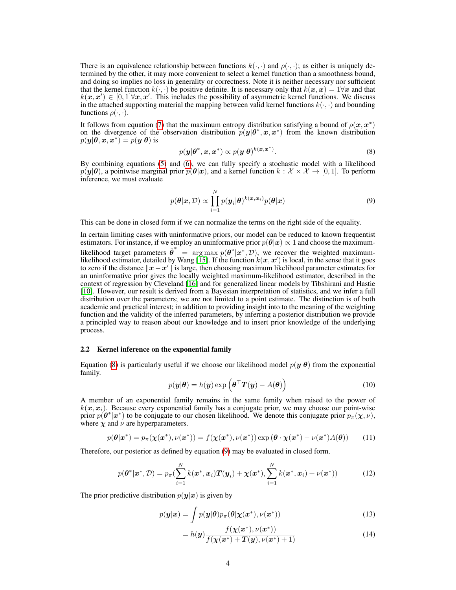There is an equivalence relationship between functions  $k(\cdot, \cdot)$  and  $\rho(\cdot, \cdot)$ ; as either is uniquely determined by the other, it may more convenient to select a kernel function than a smoothness bound, and doing so implies no loss in generality or correctness. Note it is neither necessary nor sufficient that the kernel function  $k(\cdot, \cdot)$  be positive definite. It is necessary only that  $k(x, x) = 1 \forall x$  and that  $k(x, x') \in [0, 1] \forall x, x'$ . This includes the possibility of asymmetric kernel functions. We discuss in the attached supporting material the mapping between valid kernel functions  $k(\cdot, \cdot)$  and bounding functions  $\rho(\cdot, \cdot)$ .

It follows from equation (7) that the maximum entropy distribution satisfying a bound of  $\rho(\mathbf{x}, \mathbf{x}^*)$ on the divergence of the observation distribution  $p(y|\theta^*, x, x^*)$  from the known distribution  $p(\boldsymbol{y}|\boldsymbol{\theta}, \boldsymbol{x}, \boldsymbol{x}^*) = p(\boldsymbol{y}|\boldsymbol{\theta})$  is

$$
p(\mathbf{y}|\boldsymbol{\theta}^*, \mathbf{x}, \mathbf{x}^*) \propto p(\mathbf{y}|\boldsymbol{\theta})^{k(\mathbf{x}, \mathbf{x}^*)}.
$$
\n(8)

By combining equations (5) and (6), we can fully specify a stochastic model with a likelihood  $p(\mathbf{y}|\theta)$ , a pointwise marginal prior  $p(\theta|\mathbf{x})$ , and a kernel function  $k : \mathcal{X} \times \mathcal{X} \to [0,1]$ . To perform inference, we must evaluate

$$
p(\boldsymbol{\theta}|\boldsymbol{x}, \mathcal{D}) \propto \prod_{i=1}^{N} p(\boldsymbol{y}_i|\boldsymbol{\theta})^{k(\boldsymbol{x}, \boldsymbol{x}_i)} p(\boldsymbol{\theta}|\boldsymbol{x})
$$
\n(9)

This can be done in closed form if we can normalize the terms on the right side of the equality.

In certain limiting cases with uninformative priors, our model can be reduced to known frequentist estimators. For instance, if we employ an uninformative prior  $p(\theta|\mathbf{x}) \propto 1$  and choose the maximumlikelihood target parameters  $\hat{\theta}^* = \arg \max p(\theta^* | x^*, \mathcal{D})$ , we recover the weighted maximumlikelihood estimator, detailed by Wang [15]. If the function  $k(x, x')$  is local, in the sense that it goes to zero if the distance  $||x - x'||$  is large, then choosing maximum likelihood parameter estimates for an uninformative prior gives the locally weighted maximum-likelihood estimator, described in the context of regression by Cleveland [16] and for generalized linear models by Tibshirani and Hastie [10]. However, our result is derived from a Bayesian interpretation of statistics, and we infer a full distribution over the parameters; we are not limited to a point estimate. The distinction is of both academic and practical interest; in addition to providing insight into to the meaning of the weighting function and the validity of the inferred parameters, by inferring a posterior distribution we provide a principled way to reason about our knowledge and to insert prior knowledge of the underlying process.

#### 2.2 Kernel inference on the exponential family

Equation (8) is particularly useful if we choose our likelihood model  $p(y|\theta)$  from the exponential family.

$$
p(\mathbf{y}|\boldsymbol{\theta}) = h(\mathbf{y}) \exp\left(\boldsymbol{\theta}^{\top} \boldsymbol{T}(\mathbf{y}) - A(\boldsymbol{\theta})\right)
$$
(10)

A member of an exponential family remains in the same family when raised to the power of  $k(x, x<sub>i</sub>)$ . Because every exponential family has a conjugate prior, we may choose our point-wise prior  $p(\theta^* | x^*)$  to be conjugate to our chosen likelihood. We denote this conjugate prior  $p_\pi(\chi, \nu)$ , where  $\chi$  and  $\nu$  are hyperparameters.

$$
p(\boldsymbol{\theta}|\boldsymbol{x}^*) = p_{\pi}(\boldsymbol{\chi}(\boldsymbol{x}^*), \nu(\boldsymbol{x}^*)) = f(\boldsymbol{\chi}(\boldsymbol{x}^*), \nu(\boldsymbol{x}^*)) \exp\left(\boldsymbol{\theta} \cdot \boldsymbol{\chi}(\boldsymbol{x}^*) - \nu(\boldsymbol{x}^*) A(\boldsymbol{\theta})\right)
$$
(11)

Therefore, our posterior as defined by equation (9) may be evaluated in closed form.

$$
p(\boldsymbol{\theta}^*|\boldsymbol{x}^*,\mathcal{D}) = p_\pi(\sum_{i=1}^N k(\boldsymbol{x}^*,\boldsymbol{x}_i)\boldsymbol{T}(\boldsymbol{y}_i) + \boldsymbol{\chi}(\boldsymbol{x}^*), \sum_{i=1}^N k(\boldsymbol{x}^*,\boldsymbol{x}_i) + \nu(\boldsymbol{x}^*))
$$
(12)

The prior predictive distribution  $p(\mathbf{y}|\mathbf{x})$  is given by

$$
p(\mathbf{y}|\mathbf{x}) = \int p(\mathbf{y}|\boldsymbol{\theta}) p_{\pi}(\boldsymbol{\theta}|\boldsymbol{\chi}(\mathbf{x}^*), \nu(\mathbf{x}^*))
$$
\n(13)

$$
= h(\mathbf{y}) \frac{f(\mathbf{\chi}(\mathbf{x}^*), \nu(\mathbf{x}^*))}{f(\mathbf{\chi}(\mathbf{x}^*) + \mathbf{T}(\mathbf{y}), \nu(\mathbf{x}^*) + 1)}
$$
(14)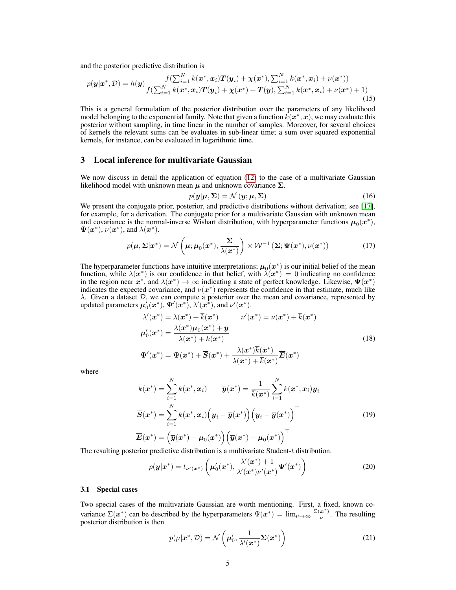and the posterior predictive distribution is

$$
p(\mathbf{y}|\mathbf{x}^*, \mathcal{D}) = h(\mathbf{y}) \frac{f(\sum_{i=1}^N k(\mathbf{x}^*, \mathbf{x}_i) \mathbf{T}(\mathbf{y}_i) + \chi(\mathbf{x}^*), \sum_{i=1}^N k(\mathbf{x}^*, \mathbf{x}_i) + \nu(\mathbf{x}^*))}{f(\sum_{i=1}^N k(\mathbf{x}^*, \mathbf{x}_i) \mathbf{T}(\mathbf{y}_i) + \chi(\mathbf{x}^*) + \mathbf{T}(\mathbf{y}), \sum_{i=1}^N k(\mathbf{x}^*, \mathbf{x}_i) + \nu(\mathbf{x}^*) + 1)}
$$
(15)

This is a general formulation of the posterior distribution over the parameters of any likelihood model belonging to the exponential family. Note that given a function  $k(x^*,x)$ , we may evaluate this posterior without sampling, in time linear in the number of samples. Moreover, for several choices of kernels the relevant sums can be evaluates in sub-linear time; a sum over squared exponential kernels, for instance, can be evaluated in logarithmic time.

# 3 Local inference for multivariate Gaussian

We now discuss in detail the application of equation (12) to the case of a multivariate Gaussian likelihood model with unknown mean  $\mu$  and unknown covariance  $\Sigma$ .

$$
p(\mathbf{y}|\boldsymbol{\mu}, \boldsymbol{\Sigma}) = \mathcal{N}(\mathbf{y}; \boldsymbol{\mu}, \boldsymbol{\Sigma})
$$
\n(16)

We present the conjugate prior, posterior, and predictive distributions without derivation; see [17], for example, for a derivation. The conjugate prior for a multivariate Gaussian with unknown mean and covariance is the normal-inverse Wishart distribution, with hyperparameter functions  $\mu_0(x^*)$ ,  $\Psi(\boldsymbol{x}^*), \nu(\boldsymbol{x}^*),$  and  $\lambda(\boldsymbol{x}^*).$ 

$$
p(\boldsymbol{\mu}, \boldsymbol{\Sigma} | \boldsymbol{x}^*) = \mathcal{N}\left(\boldsymbol{\mu}; \boldsymbol{\mu}_0(\boldsymbol{x}^*), \frac{\boldsymbol{\Sigma}}{\lambda(\boldsymbol{x}^*)}\right) \times \mathcal{W}^{-1}\left(\boldsymbol{\Sigma}; \boldsymbol{\Psi}(\boldsymbol{x}^*), \nu(\boldsymbol{x}^*)\right) \tag{17}
$$

The hyperparameter functions have intuitive interpretations;  $\mu_0(x^*)$  is our initial belief of the mean function, while  $\lambda(x^*)$  is our confidence in that belief, with  $\lambda(x^*) = 0$  indicating no confidence in the region near  $x^*$ , and  $\lambda(x^*) \to \infty$  indicating a state of perfect knowledge. Likewise,  $\Psi(x^*)$ indicates the expected covariance, and  $\nu(x^*)$  represents the confidence in that estimate, much like  $\lambda$ . Given a dataset  $D$ , we can compute a posterior over the mean and covariance, represented by updated parameters  $\mu_0'(x^*), \Psi'(x^*), \lambda'(x^*),$  and  $\nu'(x^*).$ 

$$
\lambda'(\boldsymbol{x}^*) = \lambda(\boldsymbol{x}^*) + \overline{k}(\boldsymbol{x}^*) \qquad \nu'(\boldsymbol{x}^*) = \nu(\boldsymbol{x}^*) + \overline{k}(\boldsymbol{x}^*)
$$
\n
$$
\mu'_0(\boldsymbol{x}^*) = \frac{\lambda(\boldsymbol{x}^*)\mu_0(\boldsymbol{x}^*) + \overline{y}}{\lambda(\boldsymbol{x}^*) + \overline{k}(\boldsymbol{x}^*)}
$$
\n
$$
\Psi'(\boldsymbol{x}^*) = \Psi(\boldsymbol{x}^*) + \overline{S}(\boldsymbol{x}^*) + \frac{\lambda(\boldsymbol{x}^*)\overline{k}(\boldsymbol{x}^*)}{\lambda(\boldsymbol{x}^*) + \overline{k}(\boldsymbol{x}^*)}\overline{E}(\boldsymbol{x}^*)
$$
\n(18)

where

$$
\overline{k}(\boldsymbol{x}^*) = \sum_{i=1}^N k(\boldsymbol{x}^*, \boldsymbol{x}_i) \qquad \overline{\boldsymbol{y}}(\boldsymbol{x}^*) = \frac{1}{\overline{k}(\boldsymbol{x}^*)} \sum_{i=1}^N k(\boldsymbol{x}^*, \boldsymbol{x}_i) \boldsymbol{y}_i
$$
\n
$$
\overline{S}(\boldsymbol{x}^*) = \sum_{i=1}^N k(\boldsymbol{x}^*, \boldsymbol{x}_i) \left( \boldsymbol{y}_i - \overline{\boldsymbol{y}}(\boldsymbol{x}^*) \right) \left( \boldsymbol{y}_i - \overline{\boldsymbol{y}}(\boldsymbol{x}^*) \right)^\top
$$
\n
$$
\overline{E}(\boldsymbol{x}^*) = \left( \overline{\boldsymbol{y}}(\boldsymbol{x}^*) - \mu_0(\boldsymbol{x}^*) \right) \left( \overline{\boldsymbol{y}}(\boldsymbol{x}^*) - \mu_0(\boldsymbol{x}^*) \right)^\top
$$
\n(19)

The resulting posterior predictive distribution is a multivariate Student-t distribution.

$$
p(\mathbf{y}|\mathbf{x}^*) = t_{\nu'(\mathbf{x}^*)} \left( \mu'_0(\mathbf{x}^*), \frac{\lambda'(\mathbf{x}^*) + 1}{\lambda'(\mathbf{x}^*)\nu'(\mathbf{x}^*)} \Psi'(\mathbf{x}^*) \right)
$$
(20)

## 3.1 Special cases

Two special cases of the multivariate Gaussian are worth mentioning. First, a fixed, known covariance  $\Sigma(x^*)$  can be described by the hyperparameters  $\Psi(x^*) = \lim_{\nu \to \infty} \frac{\Sigma(x^*)}{\nu}$  $\frac{x}{y}$ . The resulting posterior distribution is then

$$
p(\mu|\boldsymbol{x}^*, \mathcal{D}) = \mathcal{N}\left(\boldsymbol{\mu}_0', \frac{1}{\lambda'(\boldsymbol{x}^*)} \boldsymbol{\Sigma}(\boldsymbol{x}^*)\right)
$$
(21)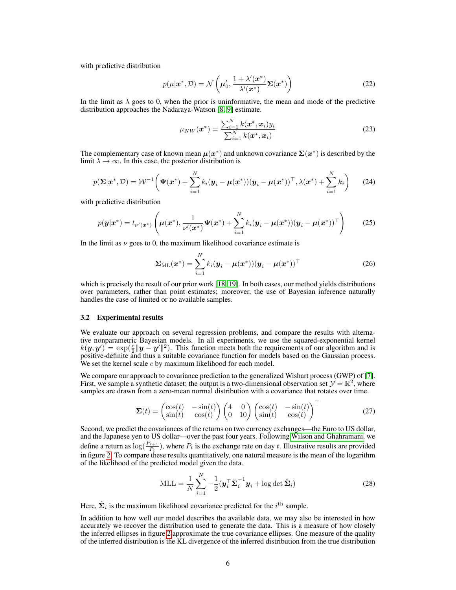with predictive distribution

$$
p(\mu|\boldsymbol{x}^*, \mathcal{D}) = \mathcal{N}\left(\boldsymbol{\mu}_0', \frac{1 + \lambda'(\boldsymbol{x}^*)}{\lambda'(\boldsymbol{x}^*)} \boldsymbol{\Sigma}(\boldsymbol{x}^*)\right)
$$
(22)

In the limit as  $\lambda$  goes to 0, when the prior is uninformative, the mean and mode of the predictive distribution approaches the Nadaraya-Watson [8, 9] estimate.

$$
\mu_{NW}(\boldsymbol{x}^*) = \frac{\sum_{i=1}^{N} k(\boldsymbol{x}^*, \boldsymbol{x}_i) y_i}{\sum_{i=1}^{N} k(\boldsymbol{x}^*, \boldsymbol{x}_i)}
$$
(23)

The complementary case of known mean  $\mu(x^*)$  and unknown covariance  $\Sigma(x^*)$  is described by the limit  $\lambda \to \infty$ . In this case, the posterior distribution is

$$
p(\boldsymbol{\Sigma}|\boldsymbol{x}^*,\mathcal{D})=\mathcal{W}^{-1}\bigg(\boldsymbol{\Psi}(\boldsymbol{x}^*)+\sum_{i=1}^N k_i(\boldsymbol{y}_i-\boldsymbol{\mu}(\boldsymbol{x}^*))(\boldsymbol{y}_i-\boldsymbol{\mu}(\boldsymbol{x}^*))^\top,\lambda(\boldsymbol{x}^*)+\sum_{i=1}^N k_i\bigg)\qquad(24)
$$

with predictive distribution

$$
p(\mathbf{y}|\mathbf{x}^*) = t_{\nu'(\mathbf{x}^*)} \left( \mu(\mathbf{x}^*), \frac{1}{\nu'(\mathbf{x}^*)} \Psi(\mathbf{x}^*) + \sum_{i=1}^N k_i (\mathbf{y}_i - \mu(\mathbf{x}^*)) (\mathbf{y}_i - \mu(\mathbf{x}^*))^\top \right) \tag{25}
$$

In the limit as  $\nu$  goes to 0, the maximum likelihood covariance estimate is

$$
\Sigma_{\mathrm{ML}}(\boldsymbol{x}^*) = \sum_{i=1}^N k_i (\boldsymbol{y}_i - \boldsymbol{\mu}(\boldsymbol{x}^*)) (\boldsymbol{y}_i - \boldsymbol{\mu}(\boldsymbol{x}^*))^\top
$$
(26)

which is precisely the result of our prior work [18, 19]. In both cases, our method yields distributions over parameters, rather than point estimates; moreover, the use of Bayesian inference naturally handles the case of limited or no available samples.

## 3.2 Experimental results

We evaluate our approach on several regression problems, and compare the results with alternative nonparametric Bayesian models. In all experiments, we use the squared-exponential kernel  $k(\mathbf{y}, \mathbf{y}') = \exp(\frac{c}{2} ||\mathbf{y} - \mathbf{y}'||^2)$ . This function meets both the requirements of our algorithm and is positive-definite and thus a suitable covariance function for models based on the Gaussian process. We set the kernel scale  $c$  by maximum likelihood for each model.

We compare our approach to covariance prediction to the generalized Wishart process (GWP) of [7]. First, we sample a synthetic dataset; the output is a two-dimensional observation set  $\mathcal{Y} = \mathbb{R}^2$ , where samples are drawn from a zero-mean normal distribution with a covariance that rotates over time.

$$
\Sigma(t) = \begin{pmatrix} \cos(t) & -\sin(t) \\ \sin(t) & \cos(t) \end{pmatrix} \begin{pmatrix} 4 & 0 \\ 0 & 10 \end{pmatrix} \begin{pmatrix} \cos(t) & -\sin(t) \\ \sin(t) & \cos(t) \end{pmatrix}^{\top}
$$
(27)

Second, we predict the covariances of the returns on two currency exchanges—the Euro to US dollar, and the Japanese yen to US dollar—over the past four years. Following Wilson and Ghahramani, we define a return as  $\log(\frac{P_{t+1}}{P_t})$ , where  $P_t$  is the exchange rate on day t. Illustrative results are provided in figure 2. To compare these results quantitatively, one natural measure is the mean of the logarithm of the likelihood of the predicted model given the data.

$$
MLL = \frac{1}{N} \sum_{i=1}^{N} -\frac{1}{2} (\boldsymbol{y}_i^{\top} \hat{\boldsymbol{\Sigma}}_i^{-1} \boldsymbol{y}_i + \log \det \hat{\boldsymbol{\Sigma}}_i)
$$
(28)

Here,  $\hat{\Sigma}_i$  is the maximum likelihood covariance predicted for the  $i^{\text{th}}$  sample.

In addition to how well our model describes the available data, we may also be interested in how accurately we recover the distribution used to generate the data. This is a measure of how closely the inferred ellipses in figure 2 approximate the true covariance ellipses. One measure of the quality of the inferred distribution is the KL divergence of the inferred distribution from the true distribution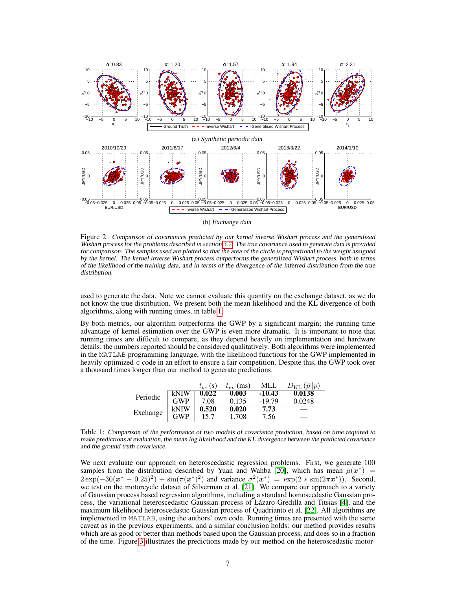

(b) Exchange data

Figure 2: Comparison of covariances predicted by our kernel inverse Wishart process and the generalized Wishart process for the problems described in section 3.2. The true covariance used to generate data is provided for comparison. The samples used are plotted so that the area of the circle is proportional to the weight assigned by the kernel. The kernel inverse Wishart process outperforms the generalized Wishart process, both in terms of the likelihood of the training data, and in terms of the divergence of the inferred distribution from the true distribution.

used to generate the data. Note we cannot evaluate this quantity on the exchange dataset, as we do not know the true distribution. We present both the mean likelihood and the KL divergence of both algorithms, along with running times, in table 1.

By both metrics, our algorithm outperforms the GWP by a significant margin; the running time advantage of kernel estimation over the GWP is even more dramatic. It is important to note that running times are difficult to compare, as they depend heavily on implementation and hardware details; the numbers reported should be considered qualitatively. Both algorithms were implemented in the MATLAB programming language, with the likelihood functions for the GWP implemented in heavily optimized  $\subset$  code in an effort to ensure a fair competition. Despite this, the GWP took over a thousand times longer than our method to generate predictions.

|          |            | $t_{tr}$ (s) | $t_{\text{ev}}$ (ms) |          | MLL $D_{\text{KL}}(\hat{p}  p)$ |
|----------|------------|--------------|----------------------|----------|---------------------------------|
| Periodic | kNIW       | 0.022        | 0.003                | $-10.43$ | 0.0138                          |
|          | <b>GWP</b> | 7.08         | 0.135                | $-19.79$ | 0.0248                          |
|          | kNIW       | 0.520        | 0.020                | 7.73     |                                 |
| Exchange | <b>GWP</b> | 15.7         | 1.708                | 7.56     |                                 |

Table 1: Comparison of the performance of two models of covariance prediction, based on time required to make predictions at evaluation, the mean log likelihood and the KL divergence between the predicted covariance and the ground truth covariance.

We next evaluate our approach on heteroscedastic regression problems. First, we generate 100 samples from the distribution described by Yuan and Wahba [20], which has mean  $\mu(x^*)$  =  $2 \exp(-30(x^* - 0.25)^2) + \sin(\pi(x^*)^2)$  and variance  $\sigma^2(x^*) = \exp(2 * \sin(2\pi x^*))$ . Second, we test on the motorcycle dataset of Silverman et al. [21]. We compare our approach to a variety of Gaussian process based regression algorithms, including a standard homoscedastic Gaussian process, the variational heteroscedastic Gaussian process of Lazaro-Gredilla and Titsias [4], and the ´ maximum likelihood heteroscedastic Gaussian process of Quadrianto et al. [22]. All algorithms are implemented in MATLAB, using the authors' own code. Running times are presented with the same caveat as in the previous experiments, and a similar conclusion holds: our method provides results which are as good or better than methods based upon the Gaussian process, and does so in a fraction of the time. Figure 3 illustrates the predictions made by our method on the heteroscedastic motor-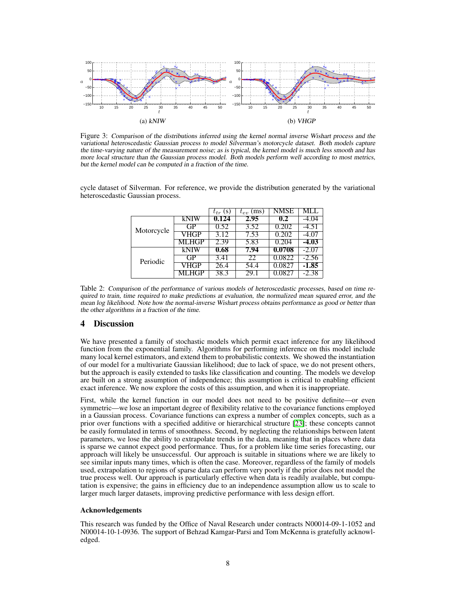

Figure 3: Comparison of the distributions inferred using the kernel normal inverse Wishart process and the variational heteroscedastic Gaussian process to model Silverman's motorcycle dataset. Both models capture the time-varying nature of the measurement noise; as is typical, the kernel model is much less smooth and has more local structure than the Gaussian process model. Both models perform well according to most metrics, but the kernel model can be computed in a fraction of the time.

|  |            |       | (S)<br>$t_{tr}$ | $t_{ev}$ (ms) | NMSE   |         |  |  |
|--|------------|-------|-----------------|---------------|--------|---------|--|--|
|  | Motorcycle | kNIW  | 0.124           | 2.95          | 0.2    | -4.04   |  |  |
|  |            | GP.   | 0.52            | 3.52          | 0.202  | $-4.51$ |  |  |
|  |            | VHGP  | 3.12            | 7.53          | 0.202  | $-4.07$ |  |  |
|  |            | MLHGP | 2.39            | 5.83          | 0.204  | $-4.03$ |  |  |
|  | Periodic   | kNIW  | 0.68            | 7.94          | 0.0708 | $-2.07$ |  |  |
|  |            | GP    | 3.41            | 22            | 0.0822 | $-2.56$ |  |  |
|  |            | VHGP  | 26.4            | 54.4          | 0.0827 | $-1.85$ |  |  |
|  |            | 'GP   | 38.3            |               |        | $-2.38$ |  |  |

cycle dataset of Silverman. For reference, we provide the distribution generated by the variational heteroscedastic Gaussian process.

Table 2: Comparison of the performance of various models of heteroscedastic processes, based on time required to train, time required to make predictions at evaluation, the normalized mean squared error, and the mean log likelihood. Note how the normal-inverse Wishart process obtains performance as good or better than the other algorithms in a fraction of the time.

# 4 Discussion

We have presented a family of stochastic models which permit exact inference for any likelihood function from the exponential family. Algorithms for performing inference on this model include many local kernel estimators, and extend them to probabilistic contexts. We showed the instantiation of our model for a multivariate Gaussian likelihood; due to lack of space, we do not present others, but the approach is easily extended to tasks like classification and counting. The models we develop are built on a strong assumption of independence; this assumption is critical to enabling efficient exact inference. We now explore the costs of this assumption, and when it is inappropriate.

First, while the kernel function in our model does not need to be positive definite—or even symmetric—we lose an important degree of flexibility relative to the covariance functions employed in a Gaussian process. Covariance functions can express a number of complex concepts, such as a prior over functions with a specified additive or hierarchical structure [23]; these concepts cannot be easily formulated in terms of smoothness. Second, by neglecting the relationships between latent parameters, we lose the ability to extrapolate trends in the data, meaning that in places where data is sparse we cannot expect good performance. Thus, for a problem like time series forecasting, our approach will likely be unsuccessful. Our approach is suitable in situations where we are likely to see similar inputs many times, which is often the case. Moreover, regardless of the family of models used, extrapolation to regions of sparse data can perform very poorly if the prior does not model the true process well. Our approach is particularly effective when data is readily available, but computation is expensive; the gains in efficiency due to an independence assumption allow us to scale to larger much larger datasets, improving predictive performance with less design effort.

## Acknowledgements

This research was funded by the Office of Naval Research under contracts N00014-09-1-1052 and N00014-10-1-0936. The support of Behzad Kamgar-Parsi and Tom McKenna is gratefully acknowledged.